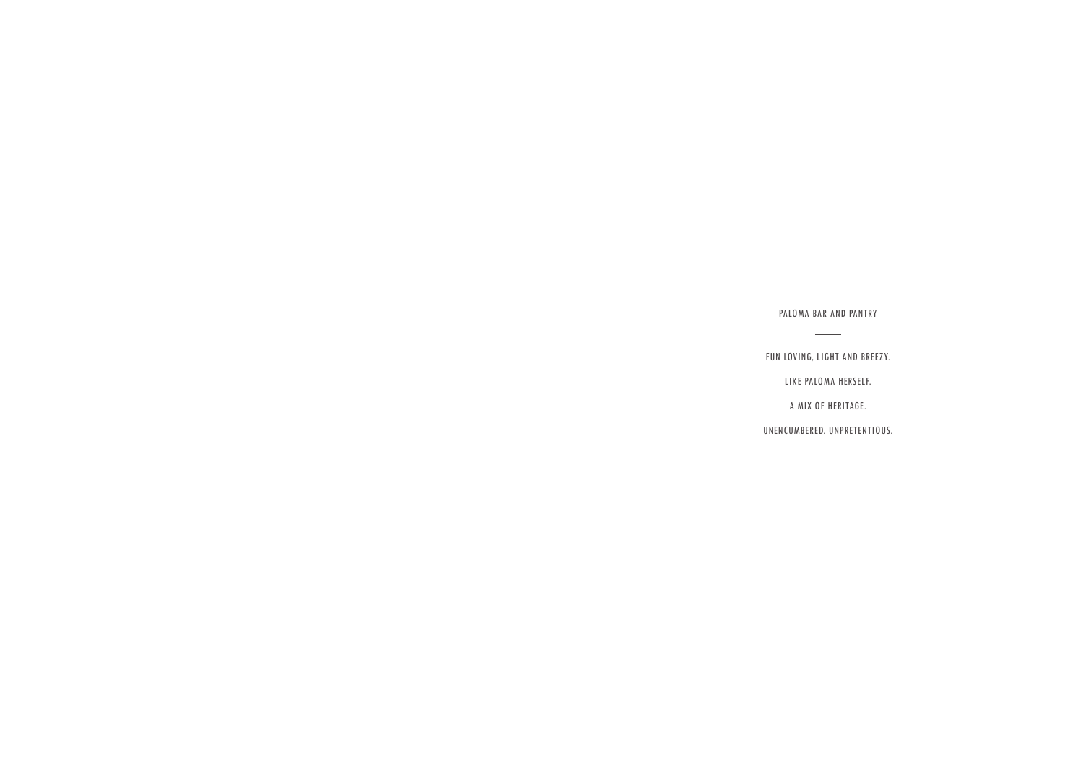PALOMA BAR AND PANTRY  $\sim$   $\sim$ 

FUN LOVING, LIGHT AND BREEZY.

LIKE PALOMA HERSELF.

A MIX OF HERITAGE.

UNENCUMBERED. UNPRETENTIOUS.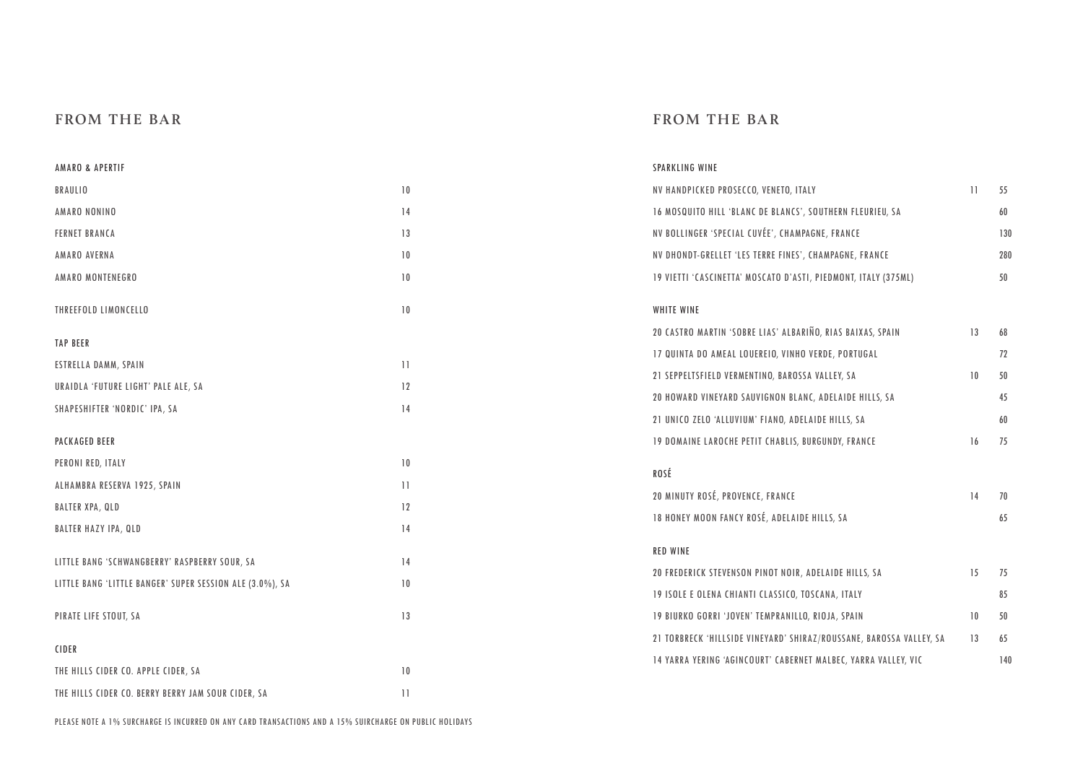## **FROM THE BAR**

## **FROM THE BAR**

| AMARO & APERTIF                                          |                 | SPARKLING WINE                                                      |                 |     |
|----------------------------------------------------------|-----------------|---------------------------------------------------------------------|-----------------|-----|
| BRAULIO                                                  | 10              | NV HANDPICKED PROSECCO, VENETO, ITALY                               | $\overline{11}$ | 55  |
| AMARO NONINO                                             | 14              | 16 MOSQUITO HILL 'BLANC DE BLANCS', SOUTHERN FLEURIEU, SA           |                 | 60  |
| <b>FERNET BRANCA</b>                                     | 13              | NV BOLLINGER 'SPECIAL CUVÉE', CHAMPAGNE, FRANCE                     |                 | 130 |
| AMARO AVERNA                                             | 10              | NV DHONDT-GRELLET 'LES TERRE FINES', CHAMPAGNE, FRANCE              |                 | 280 |
| AMARO MONTENEGRO                                         | 10              | 19 VIETTI 'CASCINETTA' MOSCATO D'ASTI, PIEDMONT, ITALY (375ML)      |                 | 50  |
| THREEFOLD LIMONCELLO                                     | 10              | <b>WHITE WINE</b>                                                   |                 |     |
| <b>TAP BEER</b>                                          |                 | 20 CASTRO MARTIN 'SOBRE LIAS' ALBARIÑO, RIAS BAIXAS, SPAIN          | 13              | 68  |
| ESTRELLA DAMM, SPAIN                                     | 11              | 17 QUINTA DO AMEAL LOUEREIO, VINHO VERDE, PORTUGAL                  |                 | 72  |
| URAIDLA 'FUTURE LIGHT' PALE ALE, SA                      | 12              | 21 SEPPELTSFIELD VERMENTINO, BAROSSA VALLEY, SA                     | 10              | 50  |
| SHAPESHIFTER 'NORDIC' IPA, SA                            | 14              | 20 HOWARD VINEYARD SAUVIGNON BLANC, ADELAIDE HILLS, SA              |                 | 45  |
|                                                          |                 | 21 UNICO ZELO 'ALLUVIUM' FIANO, ADELAIDE HILLS, SA                  |                 | 60  |
| <b>PACKAGED BEER</b>                                     |                 | <b>19 DOMAINE LAROCHE PETIT CHABLIS, BURGUNDY, FRANCE</b>           | 16              | 75  |
| PERONI RED, ITALY                                        | 10              | ROSÉ                                                                |                 |     |
| ALHAMBRA RESERVA 1925, SPAIN                             | $\overline{11}$ | 20 MINUTY ROSÉ, PROVENCE, FRANCE                                    | 14              | 70  |
| <b>BALTER XPA, QLD</b>                                   | 12              | 18 HONEY MOON FANCY ROSÉ, ADELAIDE HILLS, SA                        |                 | 65  |
| <b>BALTER HAZY IPA, QLD</b>                              | 14              |                                                                     |                 |     |
| LITTLE BANG 'SCHWANGBERRY' RASPBERRY SOUR, SA            | 14              | <b>RED WINE</b>                                                     |                 |     |
| LITTLE BANG 'LITTLE BANGER' SUPER SESSION ALE (3.0%), SA | 10              | 20 FREDERICK STEVENSON PINOT NOIR, ADELAIDE HILLS, SA               | 15              | 75  |
|                                                          |                 | 19 ISOLE E OLENA CHIANTI CLASSICO, TOSCANA, ITALY                   |                 | 85  |
| PIRATE LIFE STOUT, SA                                    | 13              | 19 BIURKO GORRI 'JOVEN' TEMPRANILLO, RIOJA, SPAIN                   | 10              | 50  |
| CIDER                                                    |                 | 21 TORBRECK 'HILLSIDE VINEYARD' SHIRAZ/ROUSSANE, BAROSSA VALLEY, SA | 13              | 65  |
| THE HILLS CIDER CO. APPLE CIDER, SA                      | 10              | 14 YARRA YERING 'AGINCOURT' CABERNET MALBEC, YARRA VALLEY, VIC      |                 | 140 |
| THE HILLS CIDER CO. BERRY BERRY JAM SOUR CIDER, SA       | $\overline{11}$ |                                                                     |                 |     |
|                                                          |                 |                                                                     |                 |     |